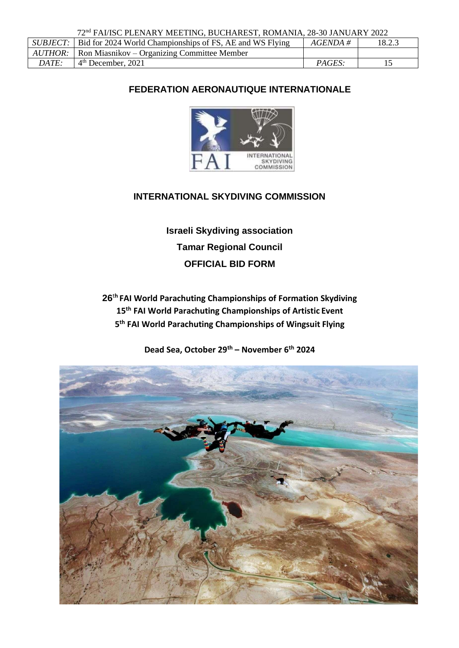72nd FAI/ISC PLENARY MEETING, BUCHAREST, ROMANIA, 28-30 JANUARY 2022

| <i>SUBJECT:</i> | Bid for 2024 World Championships of FS, AE and WS Flying | $AGENDA \#$   | 18.2.3 |
|-----------------|----------------------------------------------------------|---------------|--------|
| AUTHOR:         | <b>Ron Miasnikov</b> – Organizing Committee Member       |               |        |
| DATE:           | $4th$ December, 2021                                     | <i>PAGES:</i> |        |

# **FEDERATION AERONAUTIQUE INTERNATIONALE**



# **INTERNATIONAL SKYDIVING COMMISSION**

**Israeli Skydiving association Tamar Regional Council OFFICIAL BID FORM**

**26**<sup>t</sup>**<sup>h</sup>FAI World Parachuting Championships of Formation Skydiving 15th FAI World Parachuting Championships of Artistic Event 5 th FAI World Parachuting Championships of Wingsuit Flying**

**Dead Sea, October 29th – November 6th 2024**

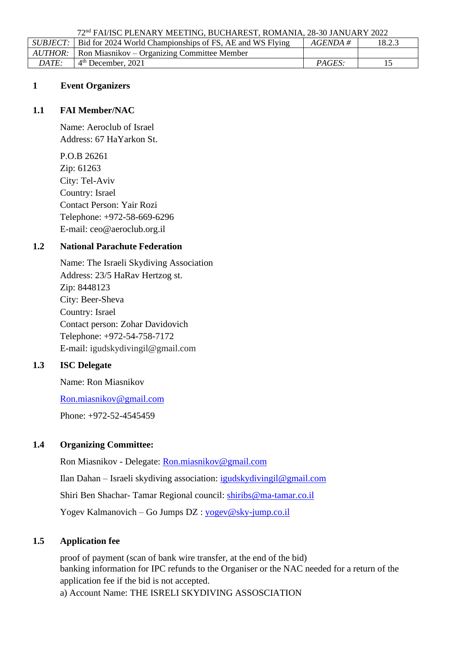72nd FAI/ISC PLENARY MEETING, BUCHAREST, ROMANIA, 28-30 JANUARY 2022

|       | <i>SUBJECT</i> : Bid for 2024 World Championships of FS, AE and WS Flying | AGENDA # | 18.2.3 |
|-------|---------------------------------------------------------------------------|----------|--------|
|       | $AUTHOR:$ Ron Miasnikov – Organizing Committee Member                     |          |        |
| DATE: | $4th$ December, 2021                                                      | PAGES:   |        |

### **1 Event Organizers**

#### **1.1 FAI Member/NAC**

Name: Aeroclub of Israel Address: 67 HaYarkon St.

P.O.B 26261 Zip: 61263 City: Tel-Aviv Country: Israel Contact Person: Yair Rozi Telephone: +972-58-669-6296 E-mail: [ceo@aeroclub.org.il](mailto:ceo@aeroclub.org.il)

## **1.2 National Parachute Federation**

Name: The Israeli Skydiving Association Address: 23/5 HaRav Hertzog st. Zip: 8448123 City: Beer-Sheva Country: Israel Contact person: Zohar Davidovich Telephone: +972-54-758-7172 E-mail: [igudskydivingil@gmail.com](mailto:igudskydivingil@gmail.com)

### **1.3 ISC Delegate**

Name: Ron Miasnikov

[Ron.miasnikov@gmail.com](mailto:Ron.miasnikov@gmail.com)

Phone: +972-52-4545459

### **1.4 Organizing Committee:**

Ron Miasnikov - Delegate: [Ron.miasnikov@gmail.com](mailto:Ron.miasnikov@gmail.com) Ilan Dahan – Israeli skydiving association: [igudskydivingil@gmail.com](mailto:igudskydivingil@gmail.com) Shiri Ben Shachar- Tamar Regional council: [shiribs@ma-tamar.co.il](mailto:shiribs@ma-tamar.co.il) Yogev Kalmanovich – Go Jumps DZ : [yogev@sky-jump.co.il](mailto:yogev@sky-jump.co.il)

### **1.5 Application fee**

proof of payment (scan of bank wire transfer, at the end of the bid) banking information for IPC refunds to the Organiser or the NAC needed for a return of the application fee if the bid is not accepted.

a) Account Name: THE ISRELI SKYDIVING ASSOSCIATION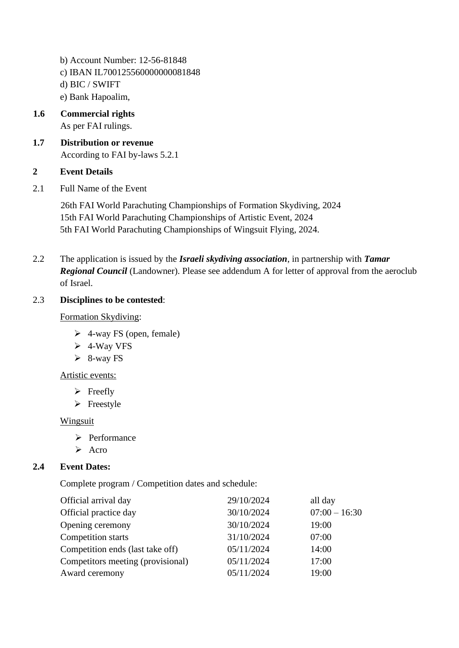- b) Account Number: 12-56-81848 c) IBAN IL700125560000000081848 d) BIC / SWIFT e) Bank Hapoalim,
- **1.6 Commercial rights** As per FAI rulings.
- **1.7 Distribution or revenue** According to FAI by-laws 5.2.1

## **2 Event Details**

2.1 Full Name of the Event

26th FAI World Parachuting Championships of Formation Skydiving, 2024 15th FAI World Parachuting Championships of Artistic Event, 2024 5th FAI World Parachuting Championships of Wingsuit Flying, 2024.

2.2 The application is issued by the *Israeli skydiving association*, in partnership with *Tamar Regional Council* (Landowner). Please see addendum A for letter of approval from the aeroclub of Israel.

## 2.3 **Disciplines to be contested**:

## Formation Skydiving:

- $\triangleright$  4-way FS (open, female)
- ➢ 4-Way VFS
- $\geq 8$ -way FS

### Artistic events:

- $\triangleright$  Freefly
- ➢ Freestyle

### Wingsuit

- ➢ Performance
- ➢ Acro

# **2.4 Event Dates:**

Complete program / Competition dates and schedule:

| Official arrival day              | 29/10/2024 | all day         |
|-----------------------------------|------------|-----------------|
| Official practice day             | 30/10/2024 | $07:00 - 16:30$ |
| Opening ceremony                  | 30/10/2024 | 19:00           |
| Competition starts                | 31/10/2024 | 07:00           |
| Competition ends (last take off)  | 05/11/2024 | 14:00           |
| Competitors meeting (provisional) | 05/11/2024 | 17:00           |
| Award ceremony                    | 05/11/2024 | 19:00           |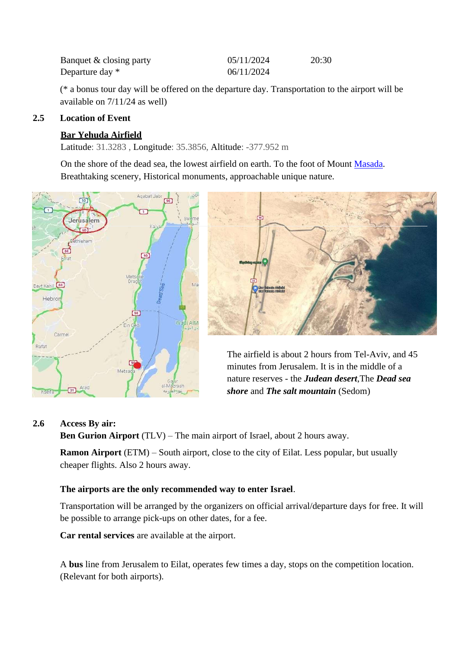| Banquet & closing party | 05/11/2024 | 20:30 |
|-------------------------|------------|-------|
| Departure day *         | 06/11/2024 |       |

(\* a bonus tour day will be offered on the departure day. Transportation to the airport will be available on 7/11/24 as well)

#### **2.5 Location of Event**

### **Bar Yehuda Airfield**

Latitude: 31.3283 , Longitude: 35.3856, Altitude: -377.952 m

On the shore of the dead sea, the lowest airfield on earth. To the foot of Mount Masada. Breathtaking scenery, Historical monuments, approachable unique nature.





The airfield is about 2 hours from Tel-Aviv, and 45 minutes from Jerusalem. It is in the middle of a nature reserves - the *Judean desert*,The *Dead sea shore* and *The salt mountain* (Sedom)

#### **2.6 Access By air:**

**Ben Gurion Airport** (TLV) – The main airport of Israel, about 2 hours away.

**Ramon Airport** (ETM) – South airport, close to the city of Eilat. Less popular, but usually cheaper flights. Also 2 hours away.

#### **The airports are the only recommended way to enter Israel**.

Transportation will be arranged by the organizers on official arrival/departure days for free. It will be possible to arrange pick-ups on other dates, for a fee.

**Car rental services** are available at the airport.

A **bus** line from Jerusalem to Eilat, operates few times a day, stops on the competition location. (Relevant for both airports).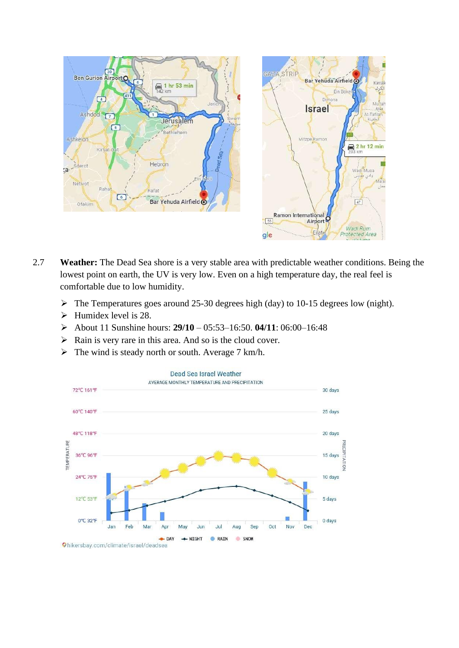



- 2.7 **Weather:** The Dead Sea shore is a very stable area with predictable weather conditions. Being the lowest point on earth, the UV is very low. Even on a high temperature day, the real feel is comfortable due to low humidity.
	- ➢ The Temperatures goes around 25-30 degrees high (day) to 10-15 degrees low (night).
	- ➢ Humidex level is 28.
	- ➢ About 11 Sunshine hours: **29/10**  05:53–16:50. **04/11**: 06:00–16:48
	- ➢ Rain is very rare in this area. And so is the cloud cover.
	- $\triangleright$  The wind is steady north or south. Average 7 km/h.

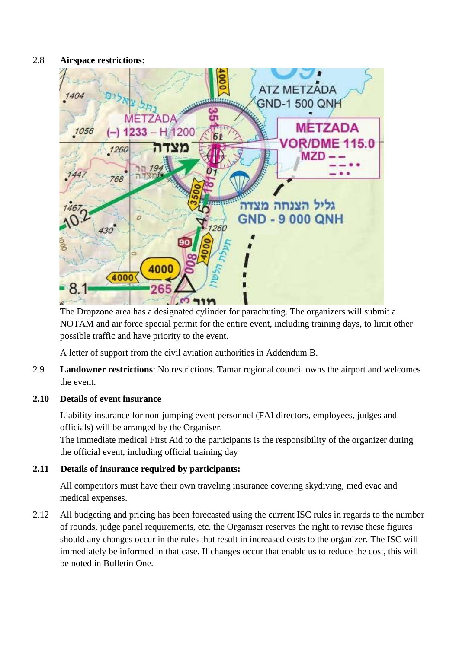### 2.8 **Airspace restrictions**:



The Dropzone area has a designated cylinder for parachuting. The organizers will submit a NOTAM and air force special permit for the entire event, including training days, to limit other possible traffic and have priority to the event.

A letter of support from the civil aviation authorities in Addendum B.

2.9 **Landowner restrictions**: No restrictions. Tamar regional council owns the airport and welcomes the event.

### **2.10 Details of event insurance**

Liability insurance for non-jumping event personnel (FAI directors, employees, judges and officials) will be arranged by the Organiser.

The immediate medical First Aid to the participants is the responsibility of the organizer during the official event, including official training day

# **2.11 Details of insurance required by participants:**

All competitors must have their own traveling insurance covering skydiving, med evac and medical expenses.

2.12 All budgeting and pricing has been forecasted using the current ISC rules in regards to the number of rounds, judge panel requirements, etc. the Organiser reserves the right to revise these figures should any changes occur in the rules that result in increased costs to the organizer. The ISC will immediately be informed in that case. If changes occur that enable us to reduce the cost, this will be noted in Bulletin One.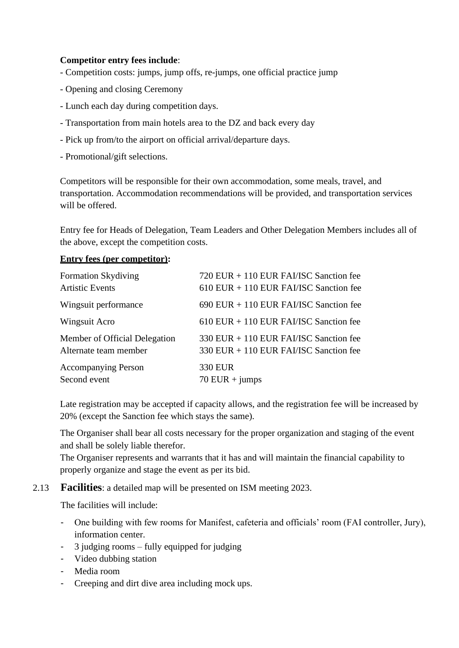### **Competitor entry fees include**:

- Competition costs: jumps, jump offs, re-jumps, one official practice jump
- Opening and closing Ceremony
- Lunch each day during competition days.
- Transportation from main hotels area to the DZ and back every day
- Pick up from/to the airport on official arrival/departure days.
- Promotional/gift selections.

Competitors will be responsible for their own accommodation, some meals, travel, and transportation. Accommodation recommendations will be provided, and transportation services will be offered.

Entry fee for Heads of Delegation, Team Leaders and Other Delegation Members includes all of the above, except the competition costs.

### **Entry fees (per competitor):**

| <b>Formation Skydiving</b>    | 720 EUR + 110 EUR FAI/ISC Sanction fee   |
|-------------------------------|------------------------------------------|
| <b>Artistic Events</b>        | $610$ EUR + 110 EUR FAI/ISC Sanction fee |
| Wingsuit performance          | 690 EUR + 110 EUR FAI/ISC Sanction fee   |
| Wingsuit Acro                 | $610$ EUR + 110 EUR FAI/ISC Sanction fee |
| Member of Official Delegation | 330 EUR + 110 EUR FAI/ISC Sanction fee   |
| Alternate team member         | 330 EUR + 110 EUR FAI/ISC Sanction fee   |
| <b>Accompanying Person</b>    | 330 EUR                                  |
| Second event                  | $70$ EUR + jumps                         |

Late registration may be accepted if capacity allows, and the registration fee will be increased by 20% (except the Sanction fee which stays the same).

The Organiser shall bear all costs necessary for the proper organization and staging of the event and shall be solely liable therefor.

The Organiser represents and warrants that it has and will maintain the financial capability to properly organize and stage the event as per its bid.

### 2.13 **Facilities**: a detailed map will be presented on ISM meeting 2023.

The facilities will include:

- One building with few rooms for Manifest, cafeteria and officials' room (FAI controller, Jury), information center.
- 3 judging rooms fully equipped for judging
- Video dubbing station
- Media room
- Creeping and dirt dive area including mock ups.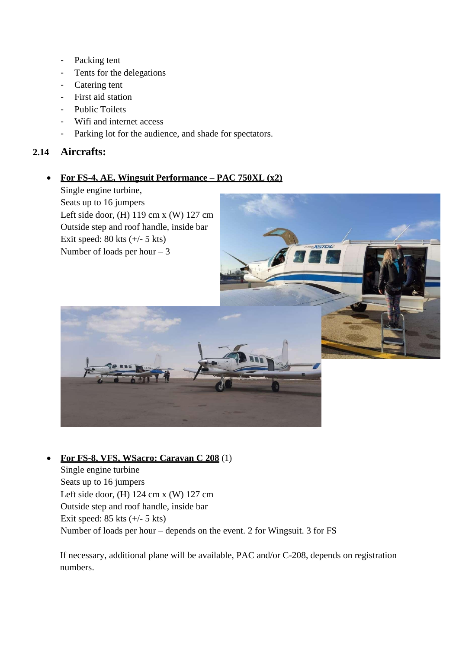- Packing tent
- Tents for the delegations
- Catering tent
- First aid station
- Public Toilets
- Wifi and internet access
- Parking lot for the audience, and shade for spectators.

## **2.14 Aircrafts:**

## • **For FS-4, AE, Wingsuit Performance – PAC 750XL (x2)**

Single engine turbine, Seats up to 16 jumpers Left side door, (H) 119 cm x (W) 127 cm Outside step and roof handle, inside bar Exit speed:  $80$  kts  $(+/- 5$  kts) Number of loads per hour  $-3$ 



### • **For FS-8, VFS, WSacro: Caravan C 208** (1)

Single engine turbine Seats up to 16 jumpers Left side door, (H) 124 cm x (W) 127 cm Outside step and roof handle, inside bar Exit speed:  $85$  kts  $(+/- 5$  kts) Number of loads per hour – depends on the event. 2 for Wingsuit. 3 for FS

If necessary, additional plane will be available, PAC and/or C-208, depends on registration numbers.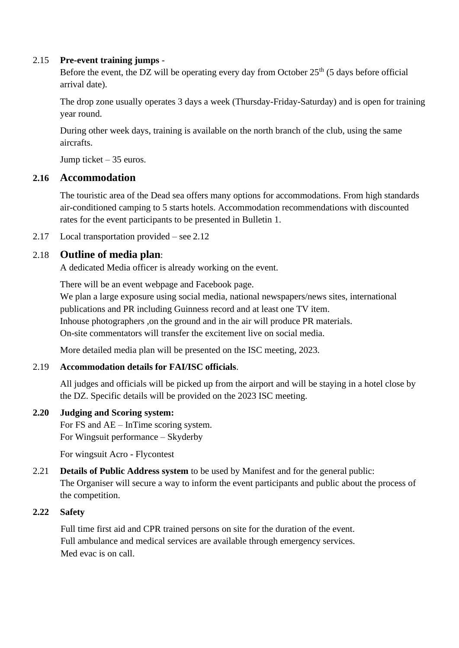### 2.15 **Pre-event training jumps** -

Before the event, the DZ will be operating every day from October  $25<sup>th</sup>$  (5 days before official arrival date).

The drop zone usually operates 3 days a week (Thursday-Friday-Saturday) and is open for training year round.

During other week days, training is available on the north branch of the club, using the same aircrafts.

Jump ticket – 35 euros.

# **2.16 Accommodation**

The touristic area of the Dead sea offers many options for accommodations. From high standards air-conditioned camping to 5 starts hotels. Accommodation recommendations with discounted rates for the event participants to be presented in Bulletin 1.

2.17 Local transportation provided – see 2.12

# 2.18 **Outline of media plan**:

A dedicated Media officer is already working on the event.

There will be an event webpage and Facebook page. We plan a large exposure using social media, national newspapers/news sites, international publications and PR including Guinness record and at least one TV item. Inhouse photographers ,on the ground and in the air will produce PR materials. On-site commentators will transfer the excitement live on social media.

More detailed media plan will be presented on the ISC meeting, 2023.

### 2.19 **Accommodation details for FAI/ISC officials**.

All judges and officials will be picked up from the airport and will be staying in a hotel close by the DZ. Specific details will be provided on the 2023 ISC meeting.

### **2.20 Judging and Scoring system:**

For FS and AE – InTime scoring system. For Wingsuit performance – Skyderby

For wingsuit Acro - Flycontest

2.21 **Details of Public Address system** to be used by Manifest and for the general public: The Organiser will secure a way to inform the event participants and public about the process of the competition.

# **2.22 Safety**

Full time first aid and CPR trained persons on site for the duration of the event. Full ambulance and medical services are available through emergency services. Med evac is on call.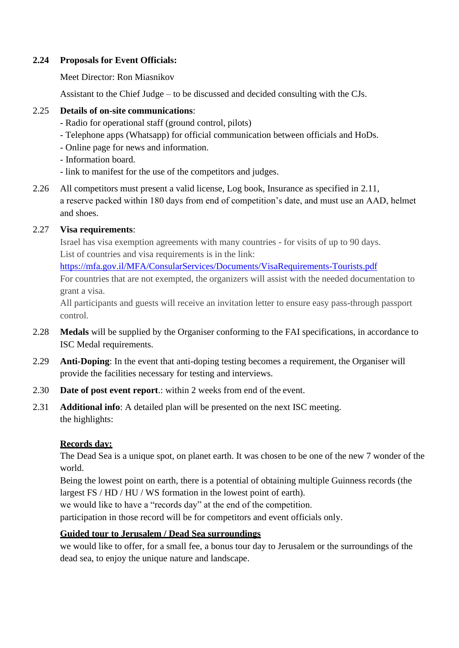#### **2.24 Proposals for Event Officials:**

Meet Director: Ron Miasnikov

Assistant to the Chief Judge – to be discussed and decided consulting with the CJs.

#### 2.25 **Details of on-site communications**:

- Radio for operational staff (ground control, pilots)
- Telephone apps (Whatsapp) for official communication between officials and HoDs.
- Online page for news and information.
- Information board.
- link to manifest for the use of the competitors and judges.
- 2.26 All competitors must present a valid license, Log book, Insurance as specified in 2.11, a reserve packed within 180 days from end of competition's date, and must use an AAD, helmet and shoes.

### 2.27 **Visa requirements**:

Israel has visa exemption agreements with many countries - for visits of up to 90 days. List of countries and visa requirements is in the link:

https://mfa.gov.il/MFA/ConsularServices/Documents/VisaRequirements-Tourists.pdf For countries that are not exempted, the organizers will assist with the needed documentation to

grant a visa.

All participants and guests will receive an invitation letter to ensure easy pass-through passport control.

- 2.28 **Medals** will be supplied by the Organiser conforming to the FAI specifications, in accordance to ISC Medal requirements.
- 2.29 **Anti-Doping**: In the event that anti-doping testing becomes a requirement, the Organiser will provide the facilities necessary for testing and interviews.
- 2.30 **Date of post event report**.: within 2 weeks from end of the event.
- 2.31 **Additional info**: A detailed plan will be presented on the next ISC meeting. the highlights:

### **Records day:**

The Dead Sea is a unique spot, on planet earth. It was chosen to be one of the new 7 wonder of the world.

Being the lowest point on earth, there is a potential of obtaining multiple Guinness records (the largest FS / HD / HU / WS formation in the lowest point of earth).

we would like to have a "records day" at the end of the competition.

participation in those record will be for competitors and event officials only.

### **Guided tour to Jerusalem / Dead Sea surroundings**

we would like to offer, for a small fee, a bonus tour day to Jerusalem or the surroundings of the dead sea, to enjoy the unique nature and landscape.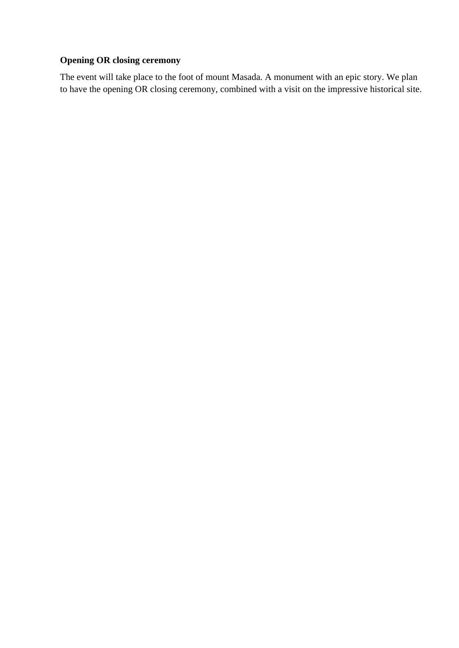# **Opening OR closing ceremony**

The event will take place to the foot of mount Masada. A monument with an epic story. We plan to have the opening OR closing ceremony, combined with a visit on the impressive historical site.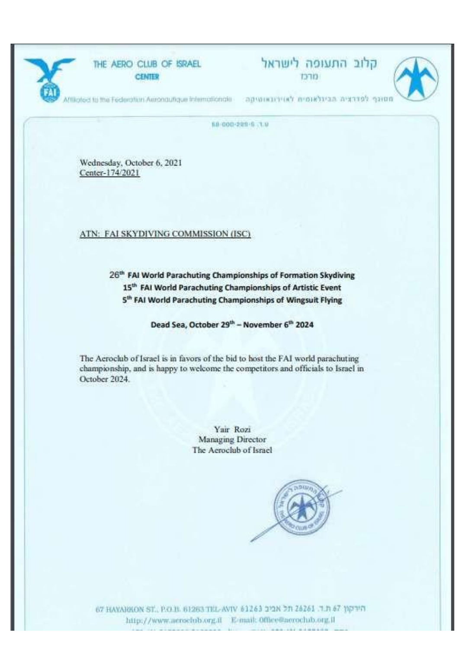

קלוב התעופה לישראל



Affiliated to the Federation Yurisman internationals - a presence in a presence argument operation

88-000-229-8 1.9

Wednesday, October 6, 2021 Center-174/2021

#### ATN: FAI SKYDIVING COMMISSION (ISC)

# 26<sup>th</sup> FAI World Parachuting Championships of Formation Skydiving 15<sup>th</sup> FAI World Parachuting Championships of Artistic Event 5<sup>th</sup> FAI World Parachuting Championships of Wingsuit Flying

#### Dead Sea, October 29<sup>th</sup> - November 6<sup>th</sup> 2024

The Aeroclub of Israel is in favors of the bid to host the FAI world parachuting championship, and is happy to welcome the competitors and officials to Israel in October 2024.

> Yair Rozi Managing Director The Aeroclub of Israel



67 HAYARKON ST., P.O.B. 61263 TEL-AVIV 61263 22N 21 26261 3.1 67 19710 http://www.neroclob.org.il E-mail: Office@neroclub.org.il